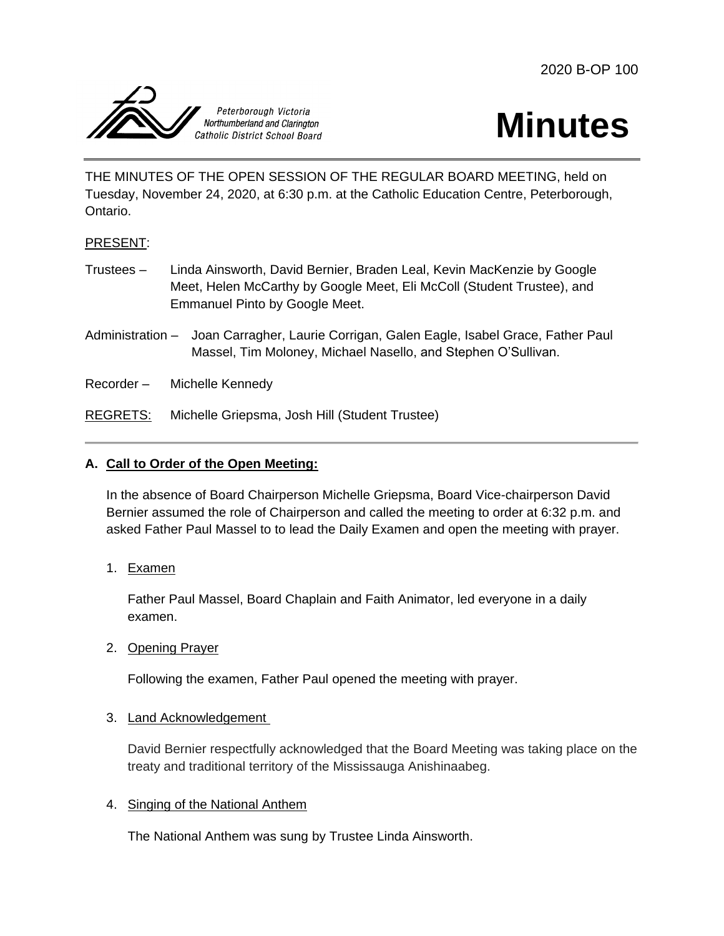2020 B-OP 100





THE MINUTES OF THE OPEN SESSION OF THE REGULAR BOARD MEETING, held on Tuesday, November 24, 2020, at 6:30 p.m. at the Catholic Education Centre, Peterborough, Ontario.

## PRESENT:

- Trustees Linda Ainsworth, David Bernier, Braden Leal, Kevin MacKenzie by Google Meet, Helen McCarthy by Google Meet, Eli McColl (Student Trustee), and Emmanuel Pinto by Google Meet.
- Administration Joan Carragher, Laurie Corrigan, Galen Eagle, Isabel Grace, Father Paul Massel, Tim Moloney, Michael Nasello, and Stephen O'Sullivan.
- Recorder Michelle Kennedy

REGRETS: Michelle Griepsma, Josh Hill (Student Trustee)

# **A. Call to Order of the Open Meeting:**

In the absence of Board Chairperson Michelle Griepsma, Board Vice-chairperson David Bernier assumed the role of Chairperson and called the meeting to order at 6:32 p.m. and asked Father Paul Massel to to lead the Daily Examen and open the meeting with prayer.

1. Examen

Father Paul Massel, Board Chaplain and Faith Animator, led everyone in a daily examen.

2. Opening Prayer

Following the examen, Father Paul opened the meeting with prayer.

## 3. Land Acknowledgement

David Bernier respectfully acknowledged that the Board Meeting was taking place on the treaty and traditional territory of the Mississauga Anishinaabeg.

## 4. Singing of the National Anthem

The National Anthem was sung by Trustee Linda Ainsworth.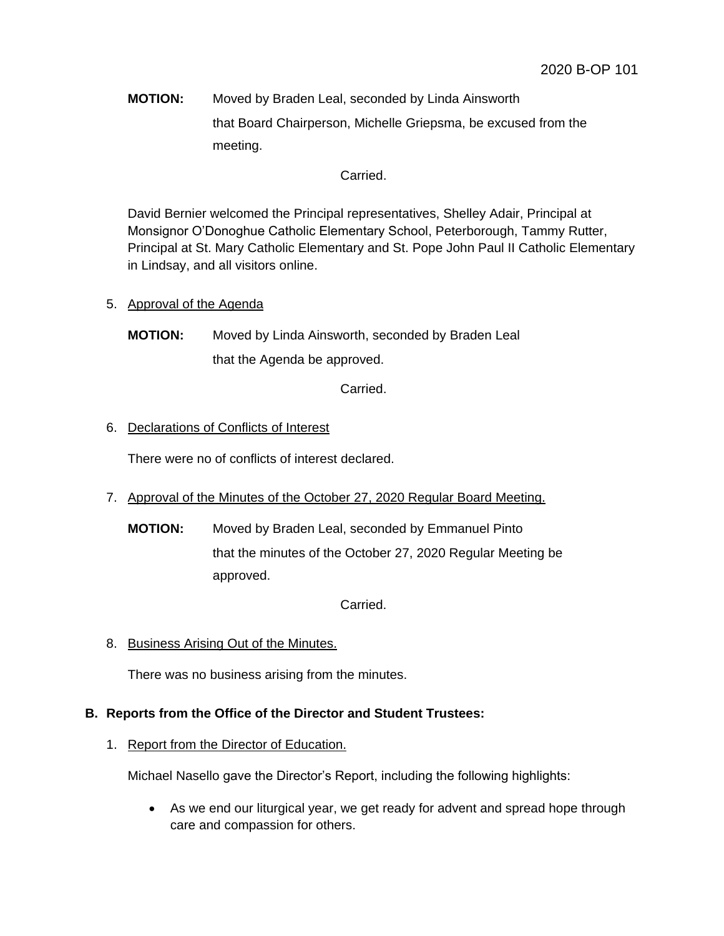**MOTION:** Moved by Braden Leal, seconded by Linda Ainsworth that Board Chairperson, Michelle Griepsma, be excused from the meeting.

## Carried.

David Bernier welcomed the Principal representatives, Shelley Adair, Principal at Monsignor O'Donoghue Catholic Elementary School, Peterborough, Tammy Rutter, Principal at St. Mary Catholic Elementary and St. Pope John Paul II Catholic Elementary in Lindsay, and all visitors online.

- 5. Approval of the Agenda
	- **MOTION:** Moved by Linda Ainsworth, seconded by Braden Leal that the Agenda be approved.

Carried.

## 6. Declarations of Conflicts of Interest

There were no of conflicts of interest declared.

- 7. Approval of the Minutes of the October 27, 2020 Regular Board Meeting.
	- **MOTION:** Moved by Braden Leal, seconded by Emmanuel Pinto that the minutes of the October 27, 2020 Regular Meeting be approved.

Carried.

8. Business Arising Out of the Minutes.

There was no business arising from the minutes.

### **B. Reports from the Office of the Director and Student Trustees:**

1. Report from the Director of Education.

Michael Nasello gave the Director's Report, including the following highlights:

 As we end our liturgical year, we get ready for advent and spread hope through care and compassion for others.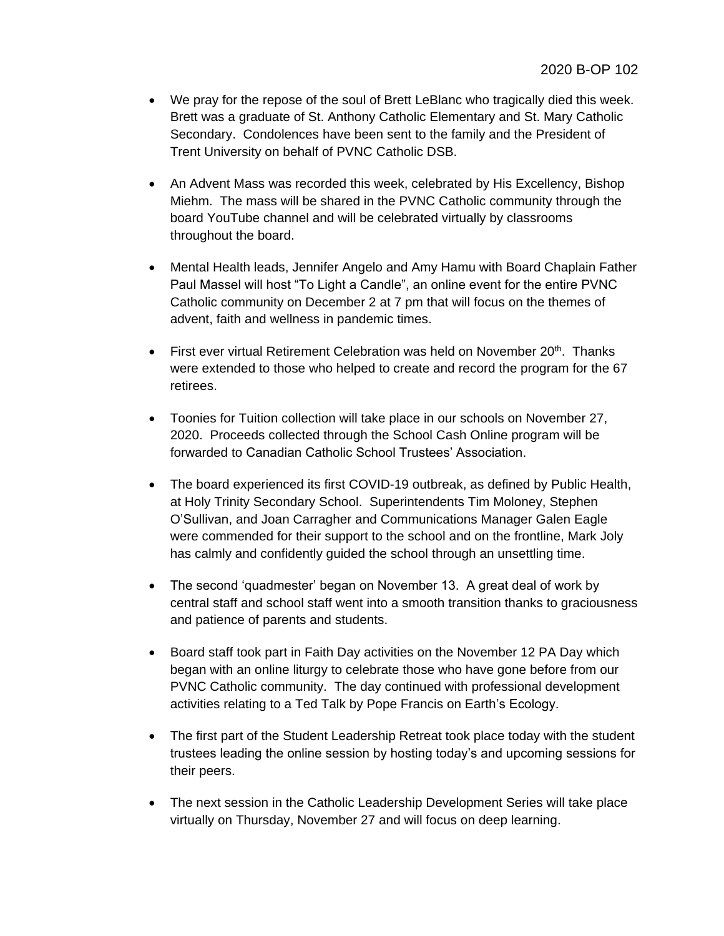- We pray for the repose of the soul of Brett LeBlanc who tragically died this week. Brett was a graduate of St. Anthony Catholic Elementary and St. Mary Catholic Secondary. Condolences have been sent to the family and the President of Trent University on behalf of PVNC Catholic DSB.
- An Advent Mass was recorded this week, celebrated by His Excellency, Bishop Miehm. The mass will be shared in the PVNC Catholic community through the board YouTube channel and will be celebrated virtually by classrooms throughout the board.
- Mental Health leads, Jennifer Angelo and Amy Hamu with Board Chaplain Father Paul Massel will host "To Light a Candle", an online event for the entire PVNC Catholic community on December 2 at 7 pm that will focus on the themes of advent, faith and wellness in pandemic times.
- First ever virtual Retirement Celebration was held on November 20<sup>th</sup>. Thanks were extended to those who helped to create and record the program for the 67 retirees.
- Toonies for Tuition collection will take place in our schools on November 27, 2020. Proceeds collected through the School Cash Online program will be forwarded to Canadian Catholic School Trustees' Association.
- The board experienced its first COVID-19 outbreak, as defined by Public Health, at Holy Trinity Secondary School. Superintendents Tim Moloney, Stephen O'Sullivan, and Joan Carragher and Communications Manager Galen Eagle were commended for their support to the school and on the frontline, Mark Joly has calmly and confidently guided the school through an unsettling time.
- The second 'quadmester' began on November 13. A great deal of work by central staff and school staff went into a smooth transition thanks to graciousness and patience of parents and students.
- Board staff took part in Faith Day activities on the November 12 PA Day which began with an online liturgy to celebrate those who have gone before from our PVNC Catholic community. The day continued with professional development activities relating to a Ted Talk by Pope Francis on Earth's Ecology.
- The first part of the Student Leadership Retreat took place today with the student trustees leading the online session by hosting today's and upcoming sessions for their peers.
- The next session in the Catholic Leadership Development Series will take place virtually on Thursday, November 27 and will focus on deep learning.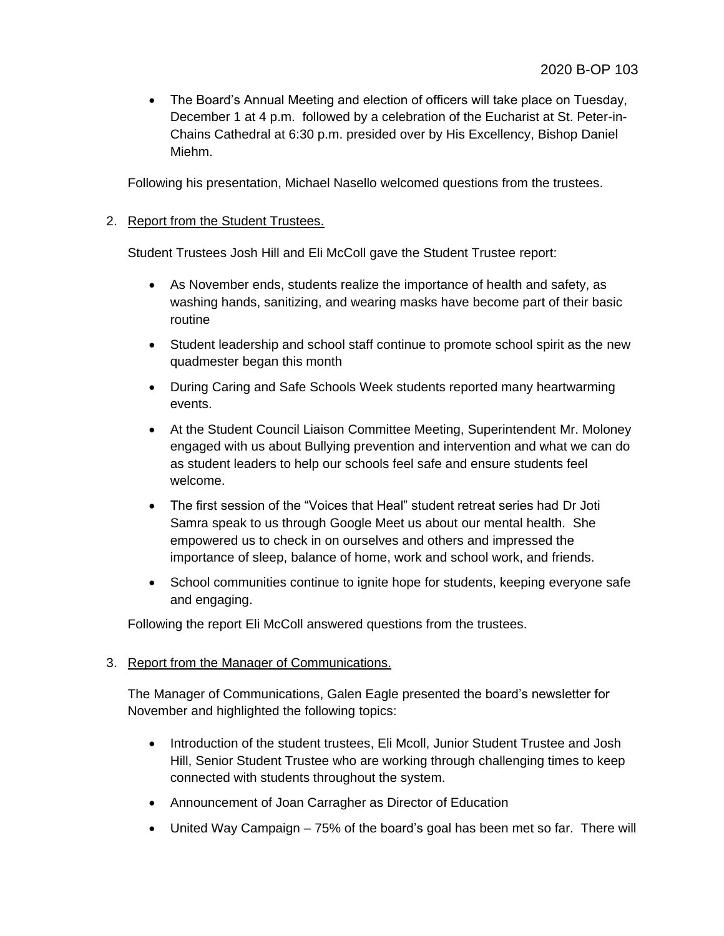The Board's Annual Meeting and election of officers will take place on Tuesday, December 1 at 4 p.m. followed by a celebration of the Eucharist at St. Peter-in-Chains Cathedral at 6:30 p.m. presided over by His Excellency, Bishop Daniel Miehm.

Following his presentation, Michael Nasello welcomed questions from the trustees.

## 2. Report from the Student Trustees.

Student Trustees Josh Hill and Eli McColl gave the Student Trustee report:

- As November ends, students realize the importance of health and safety, as washing hands, sanitizing, and wearing masks have become part of their basic routine
- Student leadership and school staff continue to promote school spirit as the new quadmester began this month
- During Caring and Safe Schools Week students reported many heartwarming events.
- At the Student Council Liaison Committee Meeting, Superintendent Mr. Moloney engaged with us about Bullying prevention and intervention and what we can do as student leaders to help our schools feel safe and ensure students feel welcome.
- The first session of the "Voices that Heal" student retreat series had Dr Joti Samra speak to us through Google Meet us about our mental health. She empowered us to check in on ourselves and others and impressed the importance of sleep, balance of home, work and school work, and friends.
- School communities continue to ignite hope for students, keeping everyone safe and engaging.

Following the report Eli McColl answered questions from the trustees.

# 3. Report from the Manager of Communications.

The Manager of Communications, Galen Eagle presented the board's newsletter for November and highlighted the following topics:

- Introduction of the student trustees, Eli Mcoll, Junior Student Trustee and Josh Hill, Senior Student Trustee who are working through challenging times to keep connected with students throughout the system.
- Announcement of Joan Carragher as Director of Education
- United Way Campaign 75% of the board's goal has been met so far. There will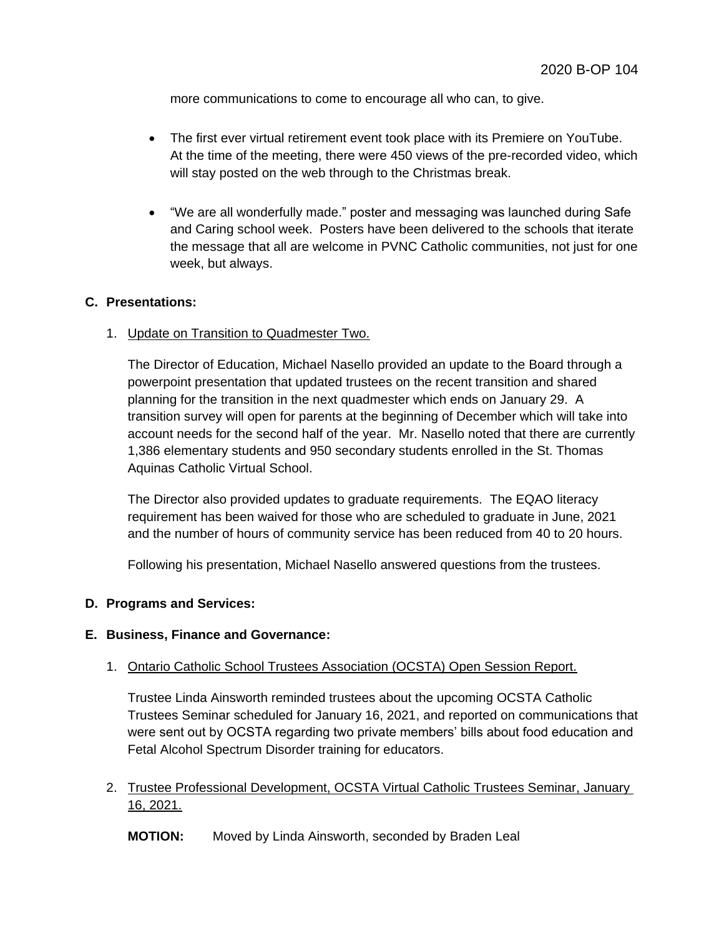more communications to come to encourage all who can, to give.

- The first ever virtual retirement event took place with its Premiere on YouTube. At the time of the meeting, there were 450 views of the pre-recorded video, which will stay posted on the web through to the Christmas break.
- "We are all wonderfully made." poster and messaging was launched during Safe and Caring school week. Posters have been delivered to the schools that iterate the message that all are welcome in PVNC Catholic communities, not just for one week, but always.

### **C. Presentations:**

1. Update on Transition to Quadmester Two.

The Director of Education, Michael Nasello provided an update to the Board through a powerpoint presentation that updated trustees on the recent transition and shared planning for the transition in the next quadmester which ends on January 29. A transition survey will open for parents at the beginning of December which will take into account needs for the second half of the year. Mr. Nasello noted that there are currently 1,386 elementary students and 950 secondary students enrolled in the St. Thomas Aquinas Catholic Virtual School.

The Director also provided updates to graduate requirements. The EQAO literacy requirement has been waived for those who are scheduled to graduate in June, 2021 and the number of hours of community service has been reduced from 40 to 20 hours.

Following his presentation, Michael Nasello answered questions from the trustees.

#### **D. Programs and Services:**

#### **E. Business, Finance and Governance:**

#### 1. Ontario Catholic School Trustees Association (OCSTA) Open Session Report.

Trustee Linda Ainsworth reminded trustees about the upcoming OCSTA Catholic Trustees Seminar scheduled for January 16, 2021, and reported on communications that were sent out by OCSTA regarding two private members' bills about food education and Fetal Alcohol Spectrum Disorder training for educators.

2. Trustee Professional Development, OCSTA Virtual Catholic Trustees Seminar, January 16, 2021.

**MOTION:** Moved by Linda Ainsworth, seconded by Braden Leal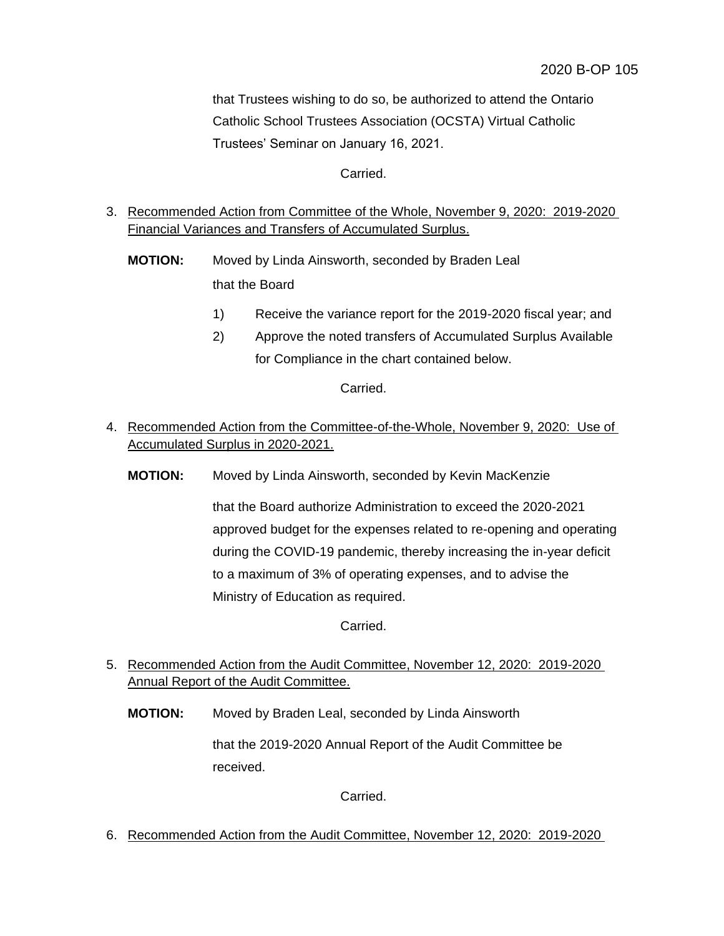that Trustees wishing to do so, be authorized to attend the Ontario Catholic School Trustees Association (OCSTA) Virtual Catholic Trustees' Seminar on January 16, 2021.

Carried.

- 3. Recommended Action from Committee of the Whole, November 9, 2020: 2019-2020 Financial Variances and Transfers of Accumulated Surplus.
	- **MOTION:** Moved by Linda Ainsworth, seconded by Braden Leal that the Board
		- 1) Receive the variance report for the 2019-2020 fiscal year; and
		- 2) Approve the noted transfers of Accumulated Surplus Available for Compliance in the chart contained below.

Carried.

- 4. Recommended Action from the Committee-of-the-Whole, November 9, 2020: Use of Accumulated Surplus in 2020-2021.
	- **MOTION:** Moved by Linda Ainsworth, seconded by Kevin MacKenzie

that the Board authorize Administration to exceed the 2020-2021 approved budget for the expenses related to re-opening and operating during the COVID-19 pandemic, thereby increasing the in-year deficit to a maximum of 3% of operating expenses, and to advise the Ministry of Education as required.

Carried.

- 5. Recommended Action from the Audit Committee, November 12, 2020: 2019-2020 Annual Report of the Audit Committee.
	- **MOTION:** Moved by Braden Leal, seconded by Linda Ainsworth

that the 2019-2020 Annual Report of the Audit Committee be received.

Carried.

6. Recommended Action from the Audit Committee, November 12, 2020: 2019-2020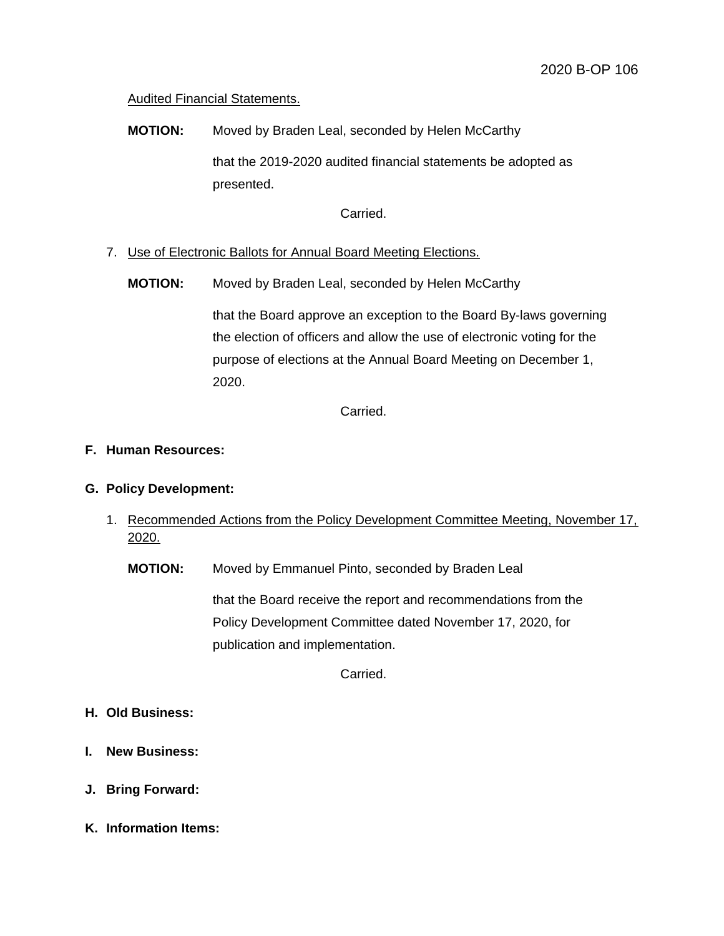## Audited Financial Statements.

**MOTION:** Moved by Braden Leal, seconded by Helen McCarthy that the 2019-2020 audited financial statements be adopted as presented.

Carried.

- 7. Use of Electronic Ballots for Annual Board Meeting Elections.
	- **MOTION:** Moved by Braden Leal, seconded by Helen McCarthy

that the Board approve an exception to the Board By-laws governing the election of officers and allow the use of electronic voting for the purpose of elections at the Annual Board Meeting on December 1, 2020.

Carried.

### **F. Human Resources:**

### **G. Policy Development:**

1. Recommended Actions from the Policy Development Committee Meeting, November 17, 2020.

**MOTION:** Moved by Emmanuel Pinto, seconded by Braden Leal

that the Board receive the report and recommendations from the Policy Development Committee dated November 17, 2020, for publication and implementation.

Carried.

- **H. Old Business:**
- **I. New Business:**
- **J. Bring Forward:**
- **K. Information Items:**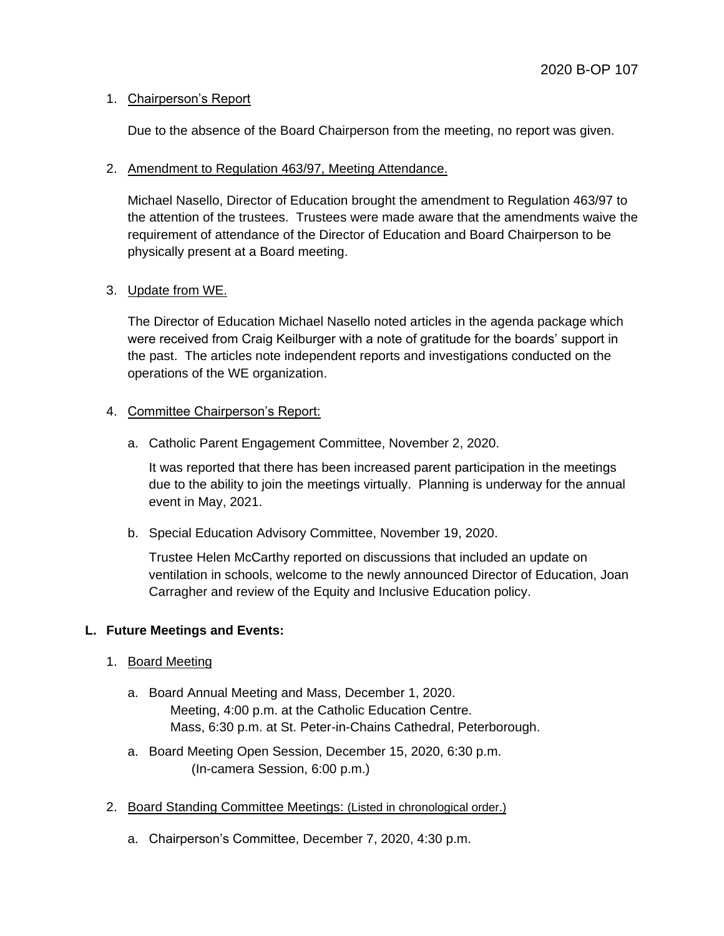## 1. Chairperson's Report

Due to the absence of the Board Chairperson from the meeting, no report was given.

### 2. Amendment to Regulation 463/97, Meeting Attendance.

Michael Nasello, Director of Education brought the amendment to Regulation 463/97 to the attention of the trustees. Trustees were made aware that the amendments waive the requirement of attendance of the Director of Education and Board Chairperson to be physically present at a Board meeting.

## 3. Update from WE.

The Director of Education Michael Nasello noted articles in the agenda package which were received from Craig Keilburger with a note of gratitude for the boards' support in the past. The articles note independent reports and investigations conducted on the operations of the WE organization.

## 4. Committee Chairperson's Report:

a. Catholic Parent Engagement Committee, November 2, 2020.

It was reported that there has been increased parent participation in the meetings due to the ability to join the meetings virtually. Planning is underway for the annual event in May, 2021.

b. Special Education Advisory Committee, November 19, 2020.

Trustee Helen McCarthy reported on discussions that included an update on ventilation in schools, welcome to the newly announced Director of Education, Joan Carragher and review of the Equity and Inclusive Education policy.

## **L. Future Meetings and Events:**

- 1. Board Meeting
	- a. Board Annual Meeting and Mass, December 1, 2020. Meeting, 4:00 p.m. at the Catholic Education Centre. Mass, 6:30 p.m. at St. Peter-in-Chains Cathedral, Peterborough.
	- a. Board Meeting Open Session, December 15, 2020, 6:30 p.m. (In-camera Session, 6:00 p.m.)
- 2. Board Standing Committee Meetings: (Listed in chronological order.)
	- a. Chairperson's Committee, December 7, 2020, 4:30 p.m.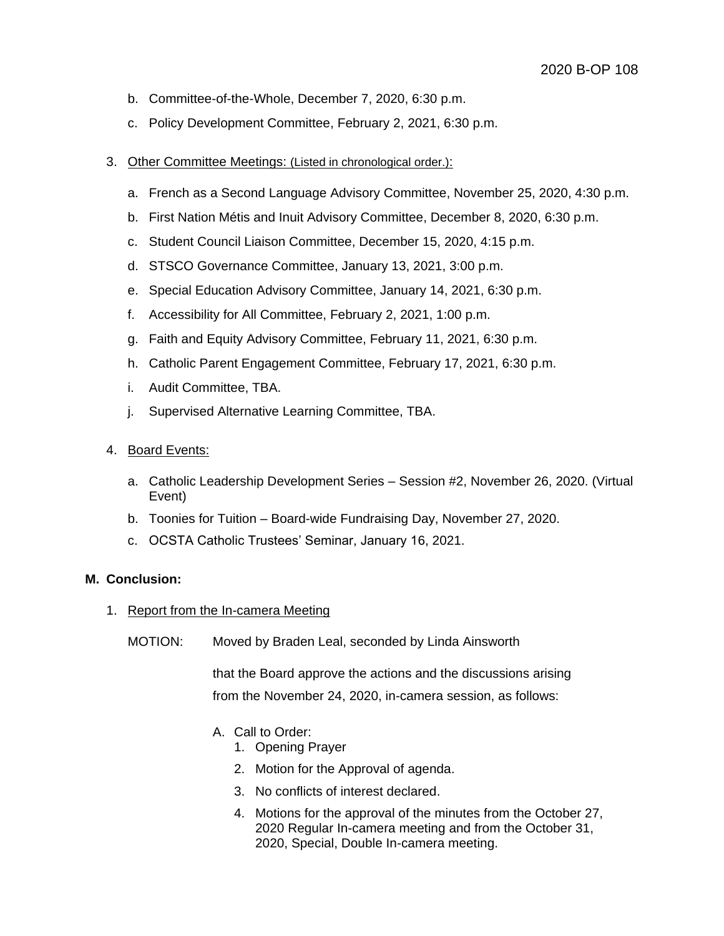- b. Committee-of-the-Whole, December 7, 2020, 6:30 p.m.
- c. Policy Development Committee, February 2, 2021, 6:30 p.m.
- 3. Other Committee Meetings: (Listed in chronological order.):
	- a. French as a Second Language Advisory Committee, November 25, 2020, 4:30 p.m.
	- b. First Nation Métis and Inuit Advisory Committee, December 8, 2020, 6:30 p.m.
	- c. Student Council Liaison Committee, December 15, 2020, 4:15 p.m.
	- d. STSCO Governance Committee, January 13, 2021, 3:00 p.m.
	- e. Special Education Advisory Committee, January 14, 2021, 6:30 p.m.
	- f. Accessibility for All Committee, February 2, 2021, 1:00 p.m.
	- g. Faith and Equity Advisory Committee, February 11, 2021, 6:30 p.m.
	- h. Catholic Parent Engagement Committee, February 17, 2021, 6:30 p.m.
	- i. Audit Committee, TBA.
	- j. Supervised Alternative Learning Committee, TBA.
- 4. Board Events:
	- a. Catholic Leadership Development Series Session #2, November 26, 2020. (Virtual Event)
	- b. Toonies for Tuition Board-wide Fundraising Day, November 27, 2020.
	- c. OCSTA Catholic Trustees' Seminar, January 16, 2021.

## **M. Conclusion:**

- 1. Report from the In-camera Meeting
	- MOTION: Moved by Braden Leal, seconded by Linda Ainsworth

that the Board approve the actions and the discussions arising from the November 24, 2020, in-camera session, as follows:

- A. Call to Order:
	- 1. Opening Prayer
	- 2. Motion for the Approval of agenda.
	- 3. No conflicts of interest declared.
	- 4. Motions for the approval of the minutes from the October 27, 2020 Regular In-camera meeting and from the October 31, 2020, Special, Double In-camera meeting.